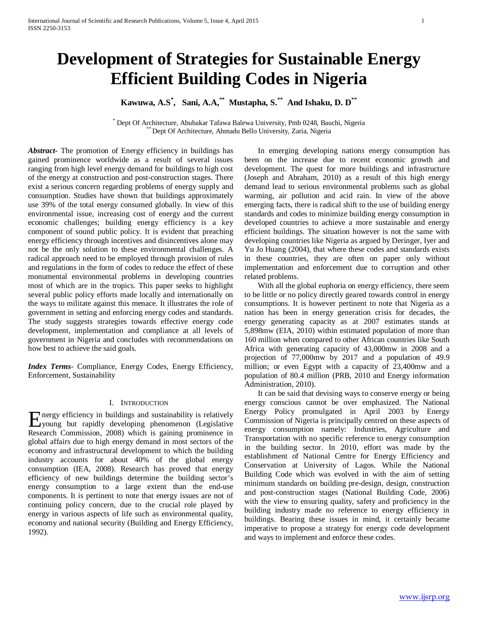# **Development of Strategies for Sustainable Energy Efficient Building Codes in Nigeria**

**Kawuwa, A.S\* , Sani, A.A,\*\* Mustapha, S.\*\* And Ishaku, D. D\*\***

\* Dept Of Architecture, Abubakar Tafawa Balewa University, Pmb 0248, Bauchi, Nigeria \*\* Dept Of Architecture, Ahmadu Bello University, Zaria, Nigeria

*Abstract***-** The promotion of Energy efficiency in buildings has gained prominence worldwide as a result of several issues ranging from high level energy demand for buildings to high cost of the energy at construction and post-construction stages. There exist a serious concern regarding problems of energy supply and consumption. Studies have shown that buildings approximately use 39% of the total energy consumed globally. In view of this environmental issue, increasing cost of energy and the current economic challenges; building energy efficiency is a key component of sound public policy. It is evident that preaching energy efficiency through incentives and disincentives alone may not be the only solution to these environmental challenges. A radical approach need to be employed through provision of rules and regulations in the form of codes to reduce the effect of these monumental environmental problems in developing countries most of which are in the tropics. This paper seeks to highlight several public policy efforts made locally and internationally on the ways to militate against this menace. It illustrates the role of government in setting and enforcing energy codes and standards. The study suggests strategies towards effective energy code development, implementation and compliance at all levels of government in Nigeria and concludes with recommendations on how best to achieve the said goals.

*Index Terms*- Compliance, Energy Codes, Energy Efficiency, Enforcement, Sustainability

#### I. INTRODUCTION

nergy efficiency in buildings and sustainability is relatively Expected by the metallic state of the state of the state of the state of the state of the process control of the state of the state of the process in the state of the state of the state of the state of the state of the sta Research Commission, 2008) which is gaining prominence in global affairs due to high energy demand in most sectors of the economy and infrastructural development to which the building industry accounts for about 40% of the global energy consumption (IEA, 2008). Research has proved that energy efficiency of new buildings determine the building sector's energy consumption to a large extent than the end-use components. It is pertinent to note that energy issues are not of continuing policy concern, due to the crucial role played by energy in various aspects of life such as environmental quality, economy and national security (Building and Energy Efficiency, 1992).

 In emerging developing nations energy consumption has been on the increase due to recent economic growth and development. The quest for more buildings and infrastructure (Joseph and Abraham, 2010) as a result of this high energy demand lead to serious environmental problems such as global warming, air pollution and acid rain. In view of the above emerging facts, there is radical shift to the use of building energy standards and codes to minimize building energy consumption in developed countries to achieve a more sustainable and energy efficient buildings. The situation however is not the same with developing countries like Nigeria as argued by Deringer, Iyer and Yu Jo Huang (2004), that where these codes and standards exists in these countries, they are often on paper only without implementation and enforcement due to corruption and other related problems.

With all the global euphoria on energy efficiency, there seem to be little or no policy directly geared towards control in energy consumptions. It is however pertinent to note that Nigeria as a nation has been in energy generation crisis for decades, the energy generating capacity as at 2007 estimates stands at 5,898mw (EIA, 2010) within estimated population of more than 160 million when compared to other African countries like South Africa with generating capacity of 43,000mw in 2008 and a projection of 77,000mw by 2017 and a population of 49.9 million; or even Egypt with a capacity of 23,400mw and a population of 80.4 million (PRB, 2010 and Energy information Administration, 2010).

 It can be said that devising ways to conserve energy or being energy conscious cannot be over emphasized. The National Energy Policy promulgated in April 2003 by Energy Commission of Nigeria is principally centred on these aspects of energy consumption namely: Industries, Agriculture and Transportation with no specific reference to energy consumption in the building sector. In 2010, effort was made by the establishment of National Centre for Energy Efficiency and Conservation at University of Lagos. While the National Building Code which was evolved in with the aim of setting minimum standards on building pre-design, design, construction and post-construction stages (National Building Code, 2006) with the view to ensuring quality, safety and proficiency in the building industry made no reference to energy efficiency in buildings. Bearing these issues in mind, it certainly became imperative to propose a strategy for energy code development and ways to implement and enforce these codes.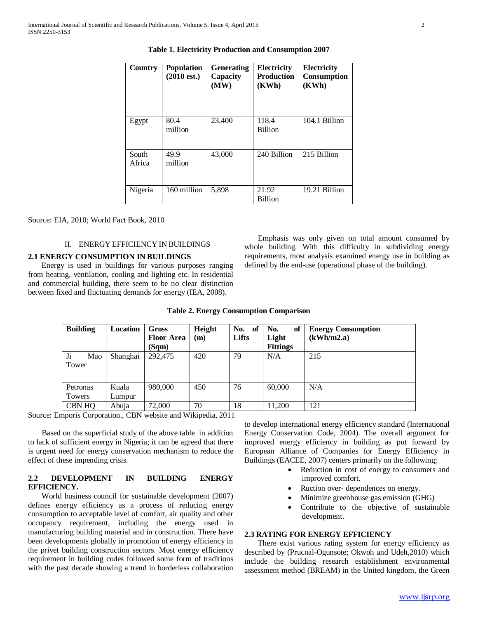| Country         | Population<br>$(2010 \text{ est.})$ | <b>Generating</b><br>Capacity<br>(MW) | Electricity<br><b>Production</b><br>(KWh) | <b>Electricity</b><br>Consumption<br>(KWh) |
|-----------------|-------------------------------------|---------------------------------------|-------------------------------------------|--------------------------------------------|
| Egypt           | 80.4<br>million                     | 23,400                                | 118.4<br><b>Billion</b>                   | 104.1 Billion                              |
| South<br>Africa | 49.9<br>million                     | 43,000                                | 240 Billion                               | 215 Billion                                |
| Nigeria         | 160 million                         | 5,898                                 | 21.92<br><b>Billion</b>                   | 19.21 Billion                              |

**Table 1. Electricity Production and Consumption 2007**

Source: EIA, 2010; World Fact Book, 2010

# II. ENERGY EFFICIENCY IN BUILDINGS

### **2.1 ENERGY CONSUMPTION IN BUILDINGS**

 Energy is used in buildings for various purposes ranging from heating, ventilation, cooling and lighting etc. In residential and commercial building, there seem to be no clear distinction between fixed and fluctuating demands for energy (IEA, 2008).

 Emphasis was only given on total amount consumed by whole building. With this difficulty in subdividing energy requirements, most analysis examined energy use in building as defined by the end-use (operational phase of the building).

| <b>Building</b> | Location | Gross             | Height | No.<br>of | of<br>No.       | <b>Energy Consumption</b> |
|-----------------|----------|-------------------|--------|-----------|-----------------|---------------------------|
|                 |          | <b>Floor Area</b> | (m)    | Lifts     | Light           | (kWh/m2.a)                |
|                 |          | (Sam)             |        |           | <b>Fittings</b> |                           |
| Ji<br>Mao       | Shanghai | 292,475           | 420    | 79        | N/A             | 215                       |
| Tower           |          |                   |        |           |                 |                           |
|                 |          |                   |        |           |                 |                           |
|                 |          |                   |        |           |                 |                           |
| Petronas        | Kuala    | 980,000           | 450    | 76        | 60,000          | N/A                       |
| Towers          | Lumpur   |                   |        |           |                 |                           |
| <b>CBN HQ</b>   | Abuja    | 72,000            | 70     | 18        | 11.200          | 121                       |

#### **Table 2. Energy Consumption Comparison**

Source: Emporis Corporation., CBN website and Wikipedia, 2011

 Based on the superficial study of the above table in addition to lack of sufficient energy in Nigeria; it can be agreed that there is urgent need for energy conservation mechanism to reduce the effect of these impending crisis.

# **2.2 DEVELOPMENT IN BUILDING ENERGY EFFICIENCY.**

 World business council for sustainable development (2007) defines energy efficiency as a process of reducing energy consumption to acceptable level of comfort, air quality and other occupancy requirement, including the energy used in manufacturing building material and in construction. There have been developments globally in promotion of energy efficiency in the privet building construction sectors. Most energy efficiency requirement in building codes followed some form of traditions with the past decade showing a trend in borderless collaboration to develop international energy efficiency standard (International Energy Conservation Code, 2004). The overall argument for improved energy efficiency in building as put forward by European Alliance of Companies for Energy Efficiency in Buildings (EACEE, 2007) centers primarily on the following;

- Reduction in cost of energy to consumers and improved comfort.
- Ruction over- dependences on energy.
- Minimize greenhouse gas emission (GHG)
- Contribute to the objective of sustainable development.

### **2.3 RATING FOR ENERGY EFFICIENCY**

 There exist various rating system for energy efficiency as described by (Prucnal-Ogunsote; Okwoh and Udeh,2010) which include the building research establishment environmental assessment method (BREAM) in the United kingdom, the Green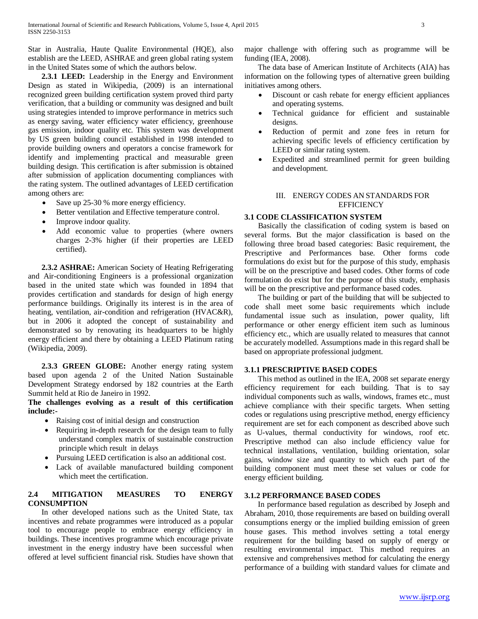Star in Australia, Haute Qualite Environmental (HQE), also establish are the LEED, ASHRAE and green global rating system in the United States some of which the authors below.

 **2.3.1 LEED:** Leadership in the Energy and Environment Design as stated in Wikipedia, (2009) is an international recognized green building certification system proved third party verification, that a building or community was designed and built using strategies intended to improve performance in metrics such as energy saving, water efficiency water efficiency, greenhouse gas emission, indoor quality etc. This system was development by US green building council established in 1998 intended to provide building owners and operators a concise framework for identify and implementing practical and measurable green building design. This certification is after submission is obtained after submission of application documenting compliances with the rating system. The outlined advantages of LEED certification among others are:

- Save up 25-30 % more energy efficiency.
- Better ventilation and Effective temperature control.
- Improve indoor quality.
- Add economic value to properties (where owners charges 2-3% higher (if their properties are LEED certified).

 **2.3.2 ASHRAE:** American Society of Heating Refrigerating and Air-conditioning Engineers is a professional organization based in the united state which was founded in 1894 that provides certification and standards for design of high energy performance buildings. Originally its interest is in the area of heating, ventilation, air-condition and refrigeration (HVAC&R), but in 2006 it adopted the concept of sustainability and demonstrated so by renovating its headquarters to be highly energy efficient and there by obtaining a LEED Platinum rating (Wikipedia, 2009).

 **2.3.3 GREEN GLOBE:** Another energy rating system based upon agenda 2 of the United Nation Sustainable Development Strategy endorsed by 182 countries at the Earth Summit held at Rio de Janeiro in 1992.

**The challenges evolving as a result of this certification include:-**

- Raising cost of initial design and construction
- Requiring in-depth research for the design team to fully understand complex matrix of sustainable construction principle which result in delays
- Pursuing LEED certification is also an additional cost.
- Lack of available manufactured building component which meet the certification.

# **2.4 MITIGATION MEASURES TO ENERGY CONSUMPTION**

 In other developed nations such as the United State, tax incentives and rebate programmes were introduced as a popular tool to encourage people to embrace energy efficiency in buildings. These incentives programme which encourage private investment in the energy industry have been successful when offered at level sufficient financial risk. Studies have shown that major challenge with offering such as programme will be funding (IEA, 2008).

 The data base of American Institute of Architects (AIA) has information on the following types of alternative green building initiatives among others.

- Discount or cash rebate for energy efficient appliances and operating systems.
- Technical guidance for efficient and sustainable designs.
- Reduction of permit and zone fees in return for achieving specific levels of efficiency certification by LEED or similar rating system.
- Expedited and streamlined permit for green building and development.

# III. ENERGY CODES AN STANDARDS FOR **EFFICIENCY**

# **3.1 CODE CLASSIFICATION SYSTEM**

 Basically the classification of coding system is based on several forms. But the major classification is based on the following three broad based categories: Basic requirement, the Prescriptive and Performances base. Other forms code formulations do exist but for the purpose of this study, emphasis will be on the prescriptive and based codes. Other forms of code formulation do exist but for the purpose of this study, emphasis will be on the prescriptive and performance based codes.

 The building or part of the building that will be subjected to code shall meet some basic requirements which include fundamental issue such as insulation, power quality, lift performance or other energy efficient item such as luminous efficiency etc., which are usually related to measures that cannot be accurately modelled. Assumptions made in this regard shall be based on appropriate professional judgment.

# **3.1.1 PRESCRIPTIVE BASED CODES**

 This method as outlined in the IEA, 2008 set separate energy efficiency requirement for each building. That is to say individual components such as walls, windows, frames etc., must achieve compliance with their specific targets. When setting codes or regulations using prescriptive method, energy efficiency requirement are set for each component as described above such as U-values, thermal conductivity for windows, roof etc. Prescriptive method can also include efficiency value for technical installations, ventilation, building orientation, solar gains, window size and quantity to which each part of the building component must meet these set values or code for energy efficient building.

# **3.1.2 PERFORMANCE BASED CODES**

 In performance based regulation as described by Joseph and Abraham, 2010, those requirements are based on building overall consumptions energy or the implied building emission of green house gases. This method involves setting a total energy requirement for the building based on supply of energy or resulting environmental impact. This method requires an extensive and comprehensives method for calculating the energy performance of a building with standard values for climate and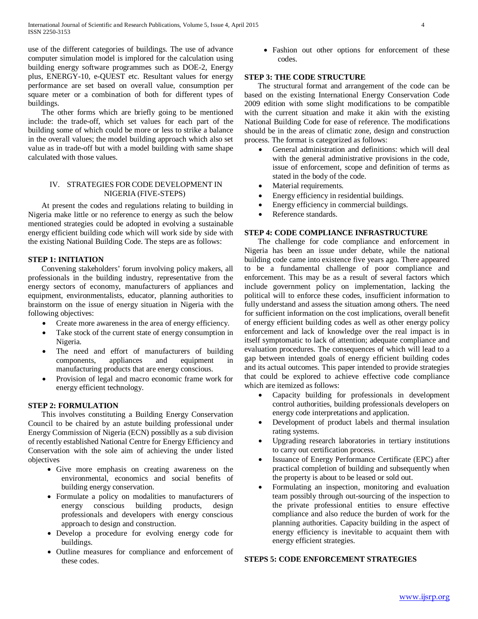use of the different categories of buildings. The use of advance computer simulation model is implored for the calculation using building energy software programmes such as DOE-2, Energy plus, ENERGY-10, e-QUEST etc. Resultant values for energy performance are set based on overall value, consumption per square meter or a combination of both for different types of buildings.

 The other forms which are briefly going to be mentioned include: the trade-off, which set values for each part of the building some of which could be more or less to strike a balance in the overall values; the model building approach which also set value as in trade-off but with a model building with same shape calculated with those values.

# IV. STRATEGIES FORCODE DEVELOPMENT IN NIGERIA (FIVE-STEPS)

 At present the codes and regulations relating to building in Nigeria make little or no reference to energy as such the below mentioned strategies could be adopted in evolving a sustainable energy efficient building code which will work side by side with the existing National Building Code. The steps are as follows:

# **STEP 1: INITIATION**

 Convening stakeholders' forum involving policy makers, all professionals in the building industry, representative from the energy sectors of economy, manufacturers of appliances and equipment, environmentalists, educator, planning authorities to brainstorm on the issue of energy situation in Nigeria with the following objectives:

- Create more awareness in the area of energy efficiency.
- Take stock of the current state of energy consumption in Nigeria.
- The need and effort of manufacturers of building components, appliances and equipment in manufacturing products that are energy conscious.
- Provision of legal and macro economic frame work for energy efficient technology.

# **STEP 2: FORMULATION**

 This involves constituting a Building Energy Conservation Council to be chaired by an astute building professional under Energy Commission of Nigeria (ECN) possiblly as a sub division of recently established National Centre for Energy Efficiency and Conservation with the sole aim of achieving the under listed objectives

- Give more emphasis on creating awareness on the environmental, economics and social benefits of building energy conservation.
- Formulate a policy on modalities to manufacturers of energy conscious building products, design professionals and developers with energy conscious approach to design and construction.
- Develop a procedure for evolving energy code for buildings.
- Outline measures for compliance and enforcement of these codes.

• Fashion out other options for enforcement of these codes.

# **STEP 3: THE CODE STRUCTURE**

 The structural format and arrangement of the code can be based on the existing International Energy Conservation Code 2009 edition with some slight modifications to be compatible with the current situation and make it akin with the existing National Building Code for ease of reference. The modifications should be in the areas of climatic zone, design and construction process. The format is categorized as follows:

- General administration and definitions: which will deal with the general administrative provisions in the code, issue of enforcement, scope and definition of terms as stated in the body of the code.
- Material requirements.
- Energy efficiency in residential buildings.
- Energy efficiency in commercial buildings.
- Reference standards.

# **STEP 4: CODE COMPLIANCE INFRASTRUCTURE**

 The challenge for code compliance and enforcement in Nigeria has been an issue under debate, while the national building code came into existence five years ago. There appeared to be a fundamental challenge of poor compliance and enforcement. This may be as a result of several factors which include government policy on implementation, lacking the political will to enforce these codes, insufficient information to fully understand and assess the situation among others. The need for sufficient information on the cost implications, overall benefit of energy efficient building codes as well as other energy policy enforcement and lack of knowledge over the real impact is in itself symptomatic to lack of attention; adequate compliance and evaluation procedures. The consequences of which will lead to a gap between intended goals of energy efficient building codes and its actual outcomes. This paper intended to provide strategies that could be explored to achieve effective code compliance which are itemized as follows:

- Capacity building for professionals in development control authorities, building professionals developers on energy code interpretations and application.
- Development of product labels and thermal insulation rating systems.
- Upgrading research laboratories in tertiary institutions to carry out certification process.
- Issuance of Energy Performance Certificate (EPC) after practical completion of building and subsequently when the property is about to be leased or sold out.
- Formulating an inspection, monitoring and evaluation team possibly through out-sourcing of the inspection to the private professional entities to ensure effective compliance and also reduce the burden of work for the planning authorities. Capacity building in the aspect of energy efficiency is inevitable to acquaint them with energy efficient strategies.

# **STEPS 5: CODE ENFORCEMENT STRATEGIES**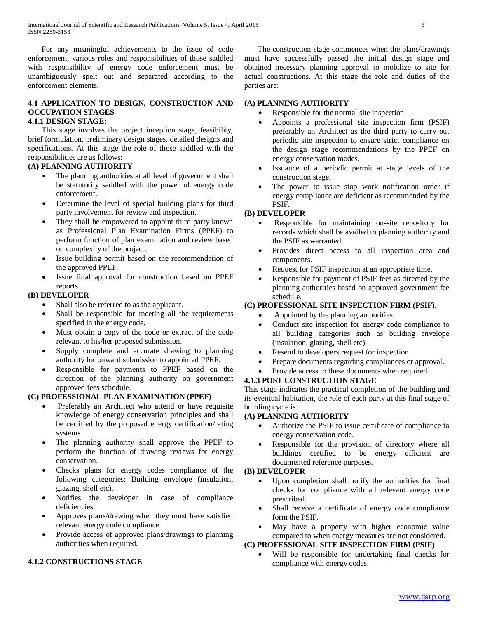For any meaningful achievements to the issue of code enforcement, various roles and responsibilities of those saddled with responsibility of energy code enforcement must be unambiguously spelt out and separated according to the enforcement elements.

# **4.1 APPLICATION TO DESIGN, CONSTRUCTION AND OCCUPATION STAGES**

# **4.1.1 DESIGN STAGE:**

 This stage involves the project inception stage, feasibility, brief formulation, preliminary design stages, detailed designs and specifications. At this stage the role of those saddled with the responsibilities are as follows:

# **(A) PLANNING AUTHORITY**

- The planning authorities at all level of government shall be statutorily saddled with the power of energy code enforcement.
- Determine the level of special building plans for third party involvement for review and inspection.
- They shall be empowered to appoint third party known as Professional Plan Examination Firms (PPEF) to perform function of plan examination and review based on complexity of the project.
- Issue building permit based on the recommendation of the approved PPEF.
- Issue final approval for construction based on PPEF reports.

# **(B) DEVELOPER**

- Shall also be referred to as the applicant.
- Shall be responsible for meeting all the requirements specified in the energy code.
- Must obtain a copy of the code or extract of the code relevant to his/her proposed submission.
- Supply complete and accurate drawing to planning authority for onward submission to appointed PPEF.
- Responsible for payments to PPEF based on the direction of the planning authority on government approved fees schedule.

# **(C) PROFESSIONAL PLAN EXAMINATION (PPEF)**

- Preferably an Architect who attend or have requisite knowledge of energy conservation principles and shall be certified by the proposed energy certification/rating systems.
- The planning authority shall approve the PPEF to perform the function of drawing reviews for energy conservation.
- Checks plans for energy codes compliance of the following categories: Building envelope (insulation, glazing, shell etc).
- Notifies the developer in case of compliance deficiencies.
- Approves plans/drawing when they must have satisfied relevant energy code compliance.
- Provide access of approved plans/drawings to planning authorities when required.

# **4.1.2 CONSTRUCTIONS STAGE**

 The construction stage commences when the plans/drawings must have successfully passed the initial design stage and obtained necessary planning approval to mobilize to site for actual constructions. At this stage the role and duties of the parties are:

# **(A) PLANNING AUTHORITY**

- Responsible for the normal site inspection.
- Appoints a professional site inspection firm (PSIF) preferably an Architect as the third party to carry out periodic site inspection to ensure strict compliance on the design stage recommendations by the PPEF on energy conservation modes.
- Issuance of a periodic permit at stage levels of the construction stage.
- The power to issue stop work notification order if energy compliance are deficient as recommended by the PSIF.

# **(B) DEVELOPER**

- Responsible for maintaining on-site repository for records which shall be availed to planning authority and the PSIF as warranted.
- Provides direct access to all inspection area and components.
- Request for PSIF inspection at an appropriate time.
- Responsible for payment of PSIF fees as directed by the planning authorities based on approved government fee schedule.

# **(C) PROFESSIONAL SITE INSPECTION FIRM (PSIF).**

- Appointed by the planning authorities.
- Conduct site inspection for energy code compliance to all building categories such as building envelope (insulation, glazing, shell etc).
- Resend to developers request for inspection.
- Prepare documents regarding compliances or approval.
- Provide access to these documents when required.

# **4.1.3 POST CONSTRUCTION STAGE**

This stage indicates the practical completion of the building and its eventual habitation, the role of each party at this final stage of building cycle is:

# **(A) PLANNING AUTHORITY**

- Authorize the PSIF to issue certificate of compliance to energy conservation code.
- Responsible for the provision of directory where all buildings certified to be energy efficient are documented reference purposes.

# **(B) DEVELOPER**

- Upon completion shall notify the authorities for final checks for compliance with all relevant energy code prescribed.
- Shall receive a certificate of energy code compliance form the PSIF.
- May have a property with higher economic value compared to when energy measures are not considered.

# **(C) PROFESSIONAL SITE INSPECTION FIRM (PSIF)**

Will be responsible for undertaking final checks for compliance with energy codes.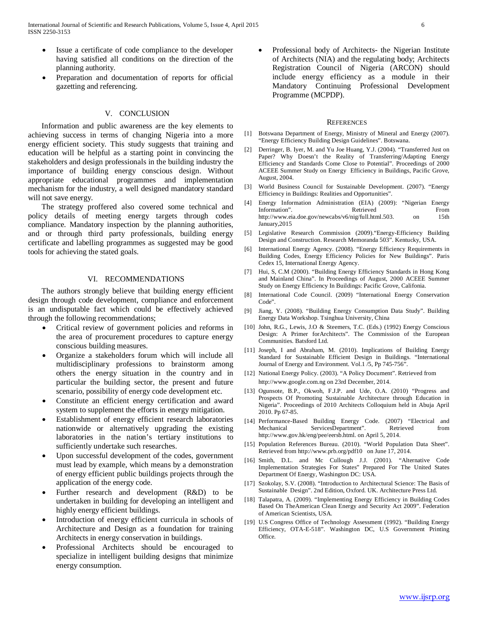- Issue a certificate of code compliance to the developer having satisfied all conditions on the direction of the planning authority.
- Preparation and documentation of reports for official gazetting and referencing.

#### V. CONCLUSION

 Information and public awareness are the key elements to achieving success in terms of changing Nigeria into a more energy efficient society. This study suggests that training and education will be helpful as a starting point in convincing the stakeholders and design professionals in the building industry the importance of building energy conscious design. Without appropriate educational programmes and implementation mechanism for the industry, a well designed mandatory standard will not save energy.

 The strategy proffered also covered some technical and policy details of meeting energy targets through codes compliance. Mandatory inspection by the planning authorities, and or through third party professionals, building energy certificate and labelling programmes as suggested may be good tools for achieving the stated goals.

## VI. RECOMMENDATIONS

 The authors strongly believe that building energy efficient design through code development, compliance and enforcement is an undisputable fact which could be effectively achieved through the following recommendations;

- Critical review of government policies and reforms in the area of procurement procedures to capture energy conscious building measures.
- Organize a stakeholders forum which will include all multidisciplinary professions to brainstorm among others the energy situation in the country and in particular the building sector, the present and future scenario, possibility of energy code development etc.
- Constitute an efficient energy certification and award system to supplement the efforts in energy mitigation.
- Establishment of energy efficient research laboratories nationwide or alternatively upgrading the existing laboratories in the nation's tertiary institutions to sufficiently undertake such researches.
- Upon successful development of the codes, government must lead by example, which means by a demonstration of energy efficient public buildings projects through the application of the energy code.
- Further research and development (R&D) to be undertaken in building for developing an intelligent and highly energy efficient buildings.
- Introduction of energy efficient curricula in schools of Architecture and Design as a foundation for training Architects in energy conservation in buildings.
- Professional Architects should be encouraged to specialize in intelligent building designs that minimize energy consumption.

• Professional body of Architects- the Nigerian Institute of Architects (NIA) and the regulating body; Architects Registration Council of Nigeria (ARCON) should include energy efficiency as a module in their Mandatory Continuing Professional Development Programme (MCPDP).

#### **REFERENCES**

- [1] Botswana Department of Energy, Ministry of Mineral and Energy (2007). "Energy Efficiency Building Design Guidelines". Botswana.
- [2] Derringer, B. Iyer, M. and Yu Joe Huang, Y.J. (2004). "Transferred Just on Paper? Why Doesn't the Reality of Transferring/Adapting Energy Efficiency and Standards Come Close to Potential". Proceedings of 2000 ACEEE Summer Study on Energy Efficiency in Buildings, Pacific Grove, August, 2004.
- [3] World Business Council for Sustainable Development. (2007). "Energy Efficiency in Buildings: Realities and Opportunities".
- [4] Energy Information Administration (EIA) (2009): "Nigerian Energy Information". Retrieved From http://www.eia.doe.gov/newcabs/v6/nig/full.html.503. on 15th January,2015
- [5] Legislative Research Commission (2009)."Energy-Efficiency Building Design and Construction. Research Memoranda 503". Kentucky, USA.
- [6] International Energy Agency. (2008). "Energy Efficiency Requirements in Building Codes, Energy Efficiency Policies for New Buildings". Paris Cedex 15, International Energy Agency.
- [7] Hui, S, C.M (2000). "Building Energy Efficiency Standards in Hong Kong and Mainland China". In Proceedings of August, 2000 ACEEE Summer Study on Energy Efficiency In Buildings: Pacific Grove, Califonia.
- [8] International Code Council. (2009) "International Energy Conservation Code".
- [9] Jiang, Y. (2008). "Building Energy Consumption Data Study". Building Energy Data Workshop. Tsinghua University, China
- [10] John, R.G., Lewis, J.O & Steemers, T.C. (Eds.) (1992) Energy Conscious Design: A Primer forArchitects". The Commission of the European Communities. Batsford Ltd.
- [11] Joseph, I and Abraham, M. (2010). Implications of Building Energy Standard for Sustainable Efficient Design in Buildings. "International Journal of Energy and Environment. Vol.1 /5, Pp 745-756".
- [12] National Energy Policy. (2003). "A Policy Document". Retrieved from http://www.google.com.ng on 23rd December, 2014.
- [13] Ogunsote, B.P., Okwoh, F.J.P. and Ude, O.A. (2010) "Progress and Prospects Of Promoting Sustainable Architecture through Education in Nigeria". Proceedings of 2010 Architects Colloquium held in Abuja April 2010. Pp 67-85.
- [14] Performance-Based Building Energy Code. (2007) "Electrical and Mechanical ServicesDepartment". Retrieved from http://www.gov.hk/eng/pee/eersb.html. on April 5, 2014.
- [15] Population References Bureau. (2010). "World Population Data Sheet". Retrieved from http://www.prb.org/pdf10 on June 17, 2014.
- [16] Smith, D.L. and Mc Cullough J.J. (2001). "Alternative Code Implementation Strategies For States" Prepared For The United States Department Of Energy, Washington DC: USA.
- [17] Szokolay, S.V. (2008). "Introduction to Architectural Science: The Basis of Sustainable Design". 2nd Edition, Oxford. UK. Architecture Press Ltd.
- [18] Talapatra, A. (2009). "Implementing Energy Efficiency in Building Codes Based On TheAmerican Clean Energy and Security Act 2009". Federation of American Scientists, USA.
- [19] U.S Congress Office of Technology Assessment (1992). "Building Energy Efficiency, OTA-E-518". Washington DC, U.S Government Printing Office.